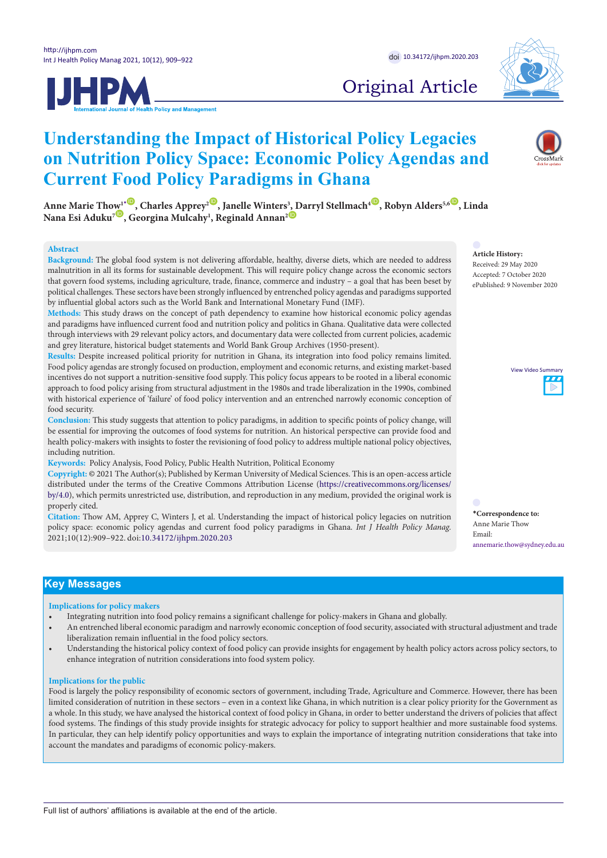



# Original Article

# Understanding the Impact of Historical Policy Legacies on Nutrition Policy Space: Economic Policy Agendas and **Current Food Policy Paradigms in Ghana** Commentary Commentary

Anne Marie Th[ow](http://orcid.org/0000-0002-8768-442X)<sup>1\*(D</sup>, Charles Apprey<sup>2(D</sup>, Janelle Winters<sup>3</sup>, Darryl Stellmach<sup>4(D</sup>, R[ob](http://orcid.org/0000-0002-6559-1636)yn Alders<sup>5,6(D</sup>, Linda<br>Nana Esi Aduku<sup>7(D</sup>, Georgina Mulcahy<sup>1</sup>, Reginald Annan<sup>2(D</sup> Nana Esi Aduku<sup>7</sup> ®, Georgina Mulcahy<sup>1</sup>, Reginald Annan<sup>2 ©</sup> **of Conflicts of Conflicts**

#### **Abstract**

Background: The global food system is not delivering affordable, healthy, diverse diets, which are needed to address malnutrition in all its forms for sustainable development. This will require policy change across the economic sectors that govern food systems, including agriculture, trade, finance, commerce and industry - a goal that has been beset by political challenges. These sectors have been strongly influenced by entrenched policy agendas and paradigms supported by influential global actors such as the World Bank and International Monetary Fund (IMF). **Abstract Abstract**

Methods: This study draws on the concept of path dependency to examine how historical economic policy agendas and paradigms have influenced current food and nutrition policy and politics in Ghana. Qualitative data were collected through interviews with 29 relevant policy actors, and documentary data were collected from current policies, academic and grey literature, historical budget statements and World Bank Group Archives (1950-present). II sure controversies sure that the medical treatment of AIDS present.

Results: Despite increased political priority for nutrition in Ghana, its integration into food policy remains limited. Food policy agendas are strongly focused on production, employment and economic returns, and existing market-based incentives do not support a nutrition-sensitive food supply. This policy focus appears to be rooted in a liberal economic approach to food policy arising from structural adjustment in the 1980s and trade liberalization in the 1990s, combined with historical experience of 'failure' of food policy intervention and an entrenched narrowly economic conception of food security. ed political priority for nutrition in Ghana, its integration into lood policy remains limi **Citation:** Askheim C, Heggen K, Engebretsen E. Politics and power in global health: the constituting role of <u>Copyright: <sup>O</sup> 2016</u> by Copyright: **Copyright:**  $\frac{1}{2}$ **C** C<sub>1</sub> Hence C<sub>1</sub> Heggen C<sub>1</sub> Heggen K, Engelsen E. Politics and power in global health construction and power in  $\frac{1}{2}$ 

cood security.<br>Conclusion: This study suggests that attention to policy paradigms, in addition to specific points of policy change, will be essential for improving the outcomes of food systems for nutrition. An historical perspective can provide food and health policy-makers with insights to foster the revisioning of food policy to address multiple national policy objectives, including nutrition. of researching the norms, politics and power of global health." *Int J Health Policy Manag.* 2016;5(2):117– suggests that attention to policy paradigms, in addition to specific points of policy change,

**Keywords:** Policy Analysis, Food Policy, Public Health Nutrition, Political Economy<br> **Copyright:** © 2021 The Author(s); Published by Kerman University of Medical Scien<br>
distributed under the terms of the Creative Commons Copyright: @ 2021 The Author(s); Published by Kerman University of Medical Sciences. This is an open-access article distributed under the terms of the Creative Commons Attribution License [\(https://creativecommons.org/licenses/](https://creativecommons.org/licenses/by/4.0) [by/4.0\)](https://creativecommons.org/licenses/by/4.0), which permits unrestricted use, distribution, and reproduction in any medium, provided the original work is properly cited. among global health scholars about the intervals about the intervals  $\mathcal{A}$ us from the "false dilemma" Ooms also wants to escape.

Citation: Thow AM, Apprey C, Winters J, et al. Understanding the impact of historical policy legacies on nutrition \*Correspondence to: policy space: economic policy agendas and current food policy paradigms in Ghana. Int J Health Policy Manag. Anne Marie Thow policy, and contention policy, agriculture statement of a policy, plantinging among 2021;10(12):909–922. doi[:10.34172/ijhpm.2020.203](https://doi.org/10.34172/ijhpm.2020.203) clearly state their normative premises and assumptions. This is not assumption of the state premises and assumptions. This is not assumption of the state  $\alpha$  $i$ interests, they have rarely treated the  $i$  structures  $i$  structures  $i$  structures structures structures structures  $i$ collection state the state through the collections.  $\sum_{i=1}^{n}$  for  $\sum_{i=1}^{n}$  rarely treated the structures structures structures structures structures structures structures structures structures structures structures structures structures structures structures structu

**Article History:** Received: 29 May 2020 Accepted: 7 October 2020 ePublished: 9 November 2020 **Comment on "Navigating Between Stealth Advocacy and Unconscious Dogmatism: The Comment on "Navigating Between Stealth Advocacy and Unconscious Dogmatism: The** 



**\*Correspondence to:** Anne Marie Thow Email: themselves as defined and infused by power, or emphasized by power, or emphasized by power, or emphasized by power, or emphasized by power, or emphasized by power, or emphasized by power,  $\alpha$ 

and her response is to develop an ontological conception of the political, where  $\sigma$  the political belongs to our ontological belongs to our onto

and her response is to develop an ontological conception of the political, where  $\sigma$  the political belongs to our ontological belongs to our onto

through conflict. The political is equivalent to politically  $\mathbb{R}$ 

through conflict. The political is equivalent to politically  $\mathbb{R}$ 

political, and such a contestation concerns public action and creates a 'we' and 'they' form of collective identification. But

creates a 'we' and 'they' form of collective identification. But

According to Mouffe, society is instituted

According to Mouffe, society is instituted

# **Key Messages**

#### **Implications for policy makers** when it comes to advocacy.1 **premises and greater openness when it comes to advocacy.1** and policy-makers, concerning the underlying normative

• Integrating nutrition into food policy remains a significant challenge for policy-makers in Ghana and globally.

generated by global health's empirical scholars." He calls

and policy-makers, concerning the underlying normative

generated by global health's empirical scholars." He calls

. An entrenched liberal economic paradigm and narrowly economic conception of food security, associated with structural adjustment and trade liberalization remain influential in the food policy sectors. through which an order is created, organizing human through which an order is created, organizing human

condition."3

condition."3

· Understanding the historical policy context of food policy can provide insights for engagement by health policy actors across policy sectors, to enhance integration of nutrition considerations into food system policy.  $A \subset \mathbb{R}^n$  is to be contested to be contested to be  $t$  the concerns of organized interest groups,  $t$  as a  $\mathcal{L}$  as a  $\mathcal{L}$  as a  $\mathcal{L}$ political."3 An issue or a topic needs to be contested to become political, and such a contestation concerns public action and

#### **Implications for the public**  $t$  to move away from  $t$  of  $t$  and  $t$  and  $t$  and  $t$  and  $t$  and  $t$  and  $t$  and  $t$  and  $t$  and  $t$  and  $t$  and  $t$  and  $t$  and  $t$  and  $t$  and  $t$  and  $t$  and  $t$  and  $t$  and  $t$  and  $t$  and  $t$  and  $t$  and  $t$  and  $t$  trying to move away from,  $t$  of a liberal submitting to a liberal submitting to a liberal submitting to a liberal submitting to a liberal submitting to a liberal submitting to a liberal submitting  $t$

Food is largely the policy responsibility of economic sectors of government, including Trade, Agriculture and Commerce. However, there has been limited consideration of nutrition in these sectors – even in a context like Ghana, in which nutrition is a clear policy priority for the Government as a whole. In this study, we have analysed the historical context of food policy in Ghana, in order to better understand the drivers of policies that affect food systems. The findings of this study provide insights for strategic advocacy for policy to support healthier and more sustainable food systems. In particular, they can help identify policy opportunities and ways to explain the importance of integrating nutrition considerations that take into account the mandates and paradigms of economic policy-makers. and paradigms of economic policy-makers. of the case of  $\frac{1}{2}$  is the case of  $\frac{1}{2}$  international and spending international and spending  $\frac{1}{2}$  He frames the ings of this staaj provide misghts tor strategic advocacy for discussing polity opportunities and ways to explain the m which people in the cannot directly ance of integrating nutrition considerations that take mile He frames the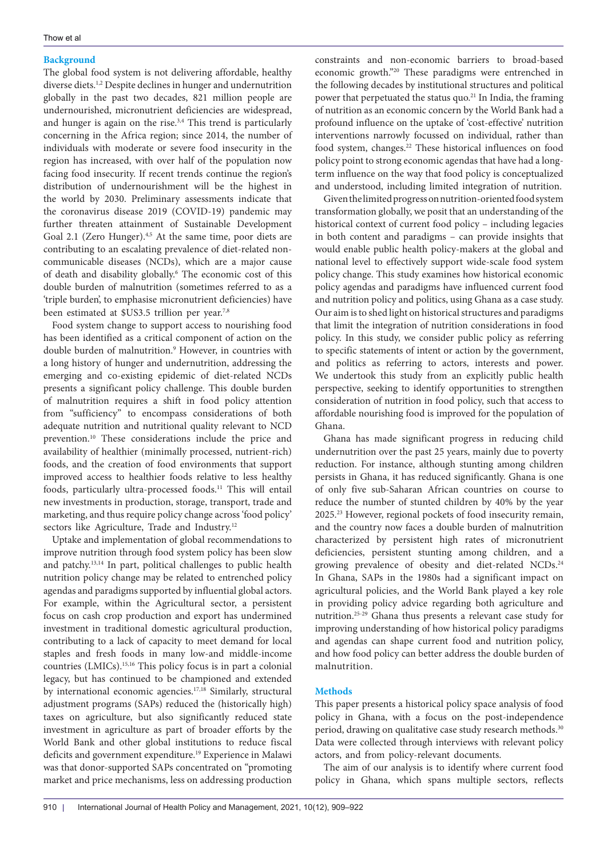### **Background**

The global food system is not delivering affordable, healthy diverse diets.<sup>1,2</sup> Despite declines in hunger and undernutrition globally in the past two decades, 821 million people are undernourished, micronutrient deficiencies are widespread, and hunger is again on the rise.<sup>3,4</sup> This trend is particularly concerning in the Africa region; since 2014, the number of individuals with moderate or severe food insecurity in the region has increased, with over half of the population now facing food insecurity. If recent trends continue the region's distribution of undernourishment will be the highest in the world by 2030. Preliminary assessments indicate that the coronavirus disease 2019 (COVID-19) pandemic may further threaten attainment of Sustainable Development Goal 2.1 (Zero Hunger).<sup>4,5</sup> At the same time, poor diets are contributing to an escalating prevalence of diet-related noncommunicable diseases (NCDs), which are a major cause of death and disability globally.6 The economic cost of this double burden of malnutrition (sometimes referred to as a 'triple burden', to emphasise micronutrient deficiencies) have been estimated at \$US3.5 trillion per year.<sup>7,8</sup>

Food system change to support access to nourishing food has been identified as a critical component of action on the double burden of malnutrition.<sup>9</sup> However, in countries with a long history of hunger and undernutrition, addressing the emerging and co-existing epidemic of diet-related NCDs presents a significant policy challenge. This double burden of malnutrition requires a shift in food policy attention from "sufficiency" to encompass considerations of both adequate nutrition and nutritional quality relevant to NCD prevention.10 These considerations include the price and availability of healthier (minimally processed, nutrient-rich) foods, and the creation of food environments that support improved access to healthier foods relative to less healthy foods, particularly ultra-processed foods.11 This will entail new investments in production, storage, transport, trade and marketing, and thus require policy change across 'food policy' sectors like Agriculture, Trade and Industry.<sup>12</sup>

Uptake and implementation of global recommendations to improve nutrition through food system policy has been slow and patchy.13,14 In part, political challenges to public health nutrition policy change may be related to entrenched policy agendas and paradigms supported by influential global actors. For example, within the Agricultural sector, a persistent focus on cash crop production and export has undermined investment in traditional domestic agricultural production, contributing to a lack of capacity to meet demand for local staples and fresh foods in many low-and middle-income countries (LMICs).15,16 This policy focus is in part a colonial legacy, but has continued to be championed and extended by international economic agencies.<sup>17,18</sup> Similarly, structural adjustment programs (SAPs) reduced the (historically high) taxes on agriculture, but also significantly reduced state investment in agriculture as part of broader efforts by the World Bank and other global institutions to reduce fiscal deficits and government expenditure.19 Experience in Malawi was that donor-supported SAPs concentrated on "promoting market and price mechanisms, less on addressing production

constraints and non-economic barriers to broad-based economic growth."20 These paradigms were entrenched in the following decades by institutional structures and political power that perpetuated the status quo.<sup>21</sup> In India, the framing of nutrition as an economic concern by the World Bank had a profound influence on the uptake of 'cost-effective' nutrition interventions narrowly focussed on individual, rather than food system, changes.<sup>22</sup> These historical influences on food policy point to strong economic agendas that have had a longterm influence on the way that food policy is conceptualized and understood, including limited integration of nutrition.

Given the limited progress on nutrition-oriented food system transformation globally, we posit that an understanding of the historical context of current food policy – including legacies in both content and paradigms – can provide insights that would enable public health policy-makers at the global and national level to effectively support wide-scale food system policy change. This study examines how historical economic policy agendas and paradigms have influenced current food and nutrition policy and politics, using Ghana as a case study. Our aim is to shed light on historical structures and paradigms that limit the integration of nutrition considerations in food policy. In this study, we consider public policy as referring to specific statements of intent or action by the government, and politics as referring to actors, interests and power. We undertook this study from an explicitly public health perspective, seeking to identify opportunities to strengthen consideration of nutrition in food policy, such that access to affordable nourishing food is improved for the population of Ghana.

Ghana has made significant progress in reducing child undernutrition over the past 25 years, mainly due to poverty reduction. For instance, although stunting among children persists in Ghana, it has reduced significantly. Ghana is one of only five sub-Saharan African countries on course to reduce the number of stunted children by 40% by the year 2025.23 However, regional pockets of food insecurity remain, and the country now faces a double burden of malnutrition characterized by persistent high rates of micronutrient deficiencies, persistent stunting among children, and a growing prevalence of obesity and diet-related NCDs.<sup>24</sup> In Ghana, SAPs in the 1980s had a significant impact on agricultural policies, and the World Bank played a key role in providing policy advice regarding both agriculture and nutrition.25-29 Ghana thus presents a relevant case study for improving understanding of how historical policy paradigms and agendas can shape current food and nutrition policy, and how food policy can better address the double burden of malnutrition.

#### **Methods**

This paper presents a historical policy space analysis of food policy in Ghana, with a focus on the post-independence period, drawing on qualitative case study research methods.<sup>30</sup> Data were collected through interviews with relevant policy actors, and from policy-relevant documents.

The aim of our analysis is to identify where current food policy in Ghana, which spans multiple sectors, reflects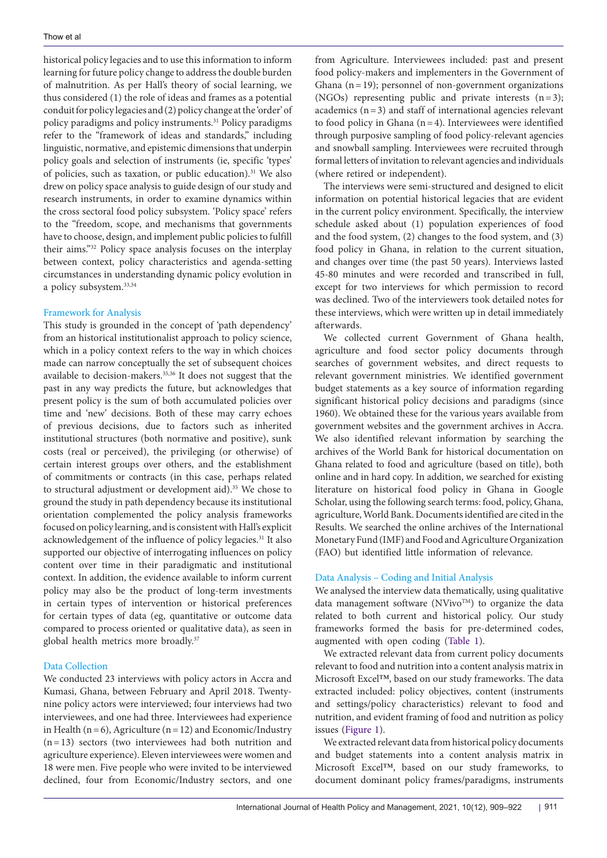historical policy legacies and to use this information to inform learning for future policy change to address the double burden of malnutrition. As per Hall's theory of social learning, we thus considered (1) the role of ideas and frames as a potential conduit for policy legacies and (2) policy change at the 'order' of policy paradigms and policy instruments.31 Policy paradigms refer to the "framework of ideas and standards," including linguistic, normative, and epistemic dimensions that underpin policy goals and selection of instruments (ie, specific 'types' of policies, such as taxation, or public education).<sup>31</sup> We also drew on policy space analysis to guide design of our study and research instruments, in order to examine dynamics within the cross sectoral food policy subsystem. 'Policy space' refers to the "freedom, scope, and mechanisms that governments have to choose, design, and implement public policies to fulfill their aims."32 Policy space analysis focuses on the interplay between context, policy characteristics and agenda-setting circumstances in understanding dynamic policy evolution in a policy subsystem.33,34

#### Framework for Analysis

This study is grounded in the concept of 'path dependency' from an historical institutionalist approach to policy science, which in a policy context refers to the way in which choices made can narrow conceptually the set of subsequent choices available to decision-makers.35,36 It does not suggest that the past in any way predicts the future, but acknowledges that present policy is the sum of both accumulated policies over time and 'new' decisions. Both of these may carry echoes of previous decisions, due to factors such as inherited institutional structures (both normative and positive), sunk costs (real or perceived), the privileging (or otherwise) of certain interest groups over others, and the establishment of commitments or contracts (in this case, perhaps related to structural adjustment or development aid).<sup>35</sup> We chose to ground the study in path dependency because its institutional orientation complemented the policy analysis frameworks focused on policy learning, and is consistent with Hall's explicit acknowledgement of the influence of policy legacies.<sup>31</sup> It also supported our objective of interrogating influences on policy content over time in their paradigmatic and institutional context. In addition, the evidence available to inform current policy may also be the product of long-term investments in certain types of intervention or historical preferences for certain types of data (eg, quantitative or outcome data compared to process oriented or qualitative data), as seen in global health metrics more broadly.37

#### Data Collection

We conducted 23 interviews with policy actors in Accra and Kumasi, Ghana, between February and April 2018. Twentynine policy actors were interviewed; four interviews had two interviewees, and one had three. Interviewees had experience in Health ( $n=6$ ), Agriculture ( $n=12$ ) and Economic/Industry (n=13) sectors (two interviewees had both nutrition and agriculture experience). Eleven interviewees were women and 18 were men. Five people who were invited to be interviewed declined, four from Economic/Industry sectors, and one

from Agriculture. Interviewees included: past and present food policy-makers and implementers in the Government of Ghana  $(n=19)$ ; personnel of non-government organizations (NGOs) representing public and private interests  $(n=3)$ ; academics  $(n=3)$  and staff of international agencies relevant to food policy in Ghana  $(n=4)$ . Interviewees were identified through purposive sampling of food policy-relevant agencies and snowball sampling. Interviewees were recruited through formal letters of invitation to relevant agencies and individuals (where retired or independent).

The interviews were semi-structured and designed to elicit information on potential historical legacies that are evident in the current policy environment. Specifically, the interview schedule asked about (1) population experiences of food and the food system, (2) changes to the food system, and (3) food policy in Ghana, in relation to the current situation, and changes over time (the past 50 years). Interviews lasted 45-80 minutes and were recorded and transcribed in full, except for two interviews for which permission to record was declined. Two of the interviewers took detailed notes for these interviews, which were written up in detail immediately afterwards.

We collected current Government of Ghana health, agriculture and food sector policy documents through searches of government websites, and direct requests to relevant government ministries. We identified government budget statements as a key source of information regarding significant historical policy decisions and paradigms (since 1960). We obtained these for the various years available from government websites and the government archives in Accra. We also identified relevant information by searching the archives of the World Bank for historical documentation on Ghana related to food and agriculture (based on title), both online and in hard copy. In addition, we searched for existing literature on historical food policy in Ghana in Google Scholar, using the following search terms: food, policy, Ghana, agriculture, World Bank. Documents identified are cited in the Results. We searched the online archives of the International Monetary Fund (IMF) and Food and Agriculture Organization (FAO) but identified little information of relevance.

#### Data Analysis – Coding and Initial Analysis

We analysed the interview data thematically, using qualitative data management software (NVivo<sup>TM</sup>) to organize the data related to both current and historical policy. Our study frameworks formed the basis for pre-determined codes, augmented with open coding ([Table 1\)](#page-3-0).

We extracted relevant data from current policy documents relevant to food and nutrition into a content analysis matrix in Microsoft Excel™, based on our study frameworks. The data extracted included: policy objectives, content (instruments and settings/policy characteristics) relevant to food and nutrition, and evident framing of food and nutrition as policy issues ([Figure 1](#page-3-1)).

We extracted relevant data from historical policy documents and budget statements into a content analysis matrix in Microsoft Excel™, based on our study frameworks, to document dominant policy frames/paradigms, instruments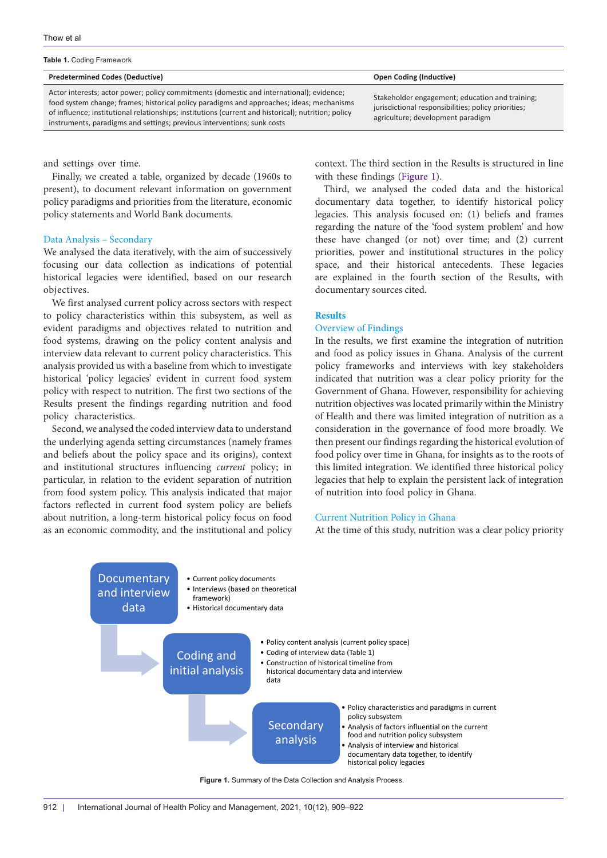<span id="page-3-0"></span>

|  |  | Table 1. Coding Framework |
|--|--|---------------------------|
|--|--|---------------------------|

#### **Predetermined Codes (Deductive) Open Coding (Inductive)**

Actor interests; actor power; policy commitments (domestic and international); evidence; food system change; frames; historical policy paradigms and approaches; ideas; mechanisms of influence; institutional relationships; institutions (current and historical); nutrition; policy instruments, paradigms and settings; previous interventions; sunk costs

and settings over time.

Finally, we created a table, organized by decade (1960s to present), to document relevant information on government policy paradigms and priorities from the literature, economic policy statements and World Bank documents.

#### Data Analysis – Secondary

We analysed the data iteratively, with the aim of successively focusing our data collection as indications of potential historical legacies were identified, based on our research objectives.

We first analysed current policy across sectors with respect to policy characteristics within this subsystem, as well as evident paradigms and objectives related to nutrition and food systems, drawing on the policy content analysis and interview data relevant to current policy characteristics. This analysis provided us with a baseline from which to investigate historical 'policy legacies' evident in current food system policy with respect to nutrition. The first two sections of the Results present the findings regarding nutrition and food policy characteristics.

Second, we analysed the coded interview data to understand the underlying agenda setting circumstances (namely frames and beliefs about the policy space and its origins), context and institutional structures influencing *current* policy; in particular, in relation to the evident separation of nutrition from food system policy. This analysis indicated that major factors reflected in current food system policy are beliefs about nutrition, a long-term historical policy focus on food as an economic commodity, and the institutional and policy

Stakeholder engagement; education and training; jurisdictional responsibilities; policy priorities; agriculture; development paradigm

context. The third section in the Results is structured in line with these findings ([Figure 1\)](#page-3-1).

Third, we analysed the coded data and the historical documentary data together, to identify historical policy legacies. This analysis focused on: (1) beliefs and frames regarding the nature of the 'food system problem' and how these have changed (or not) over time; and (2) current priorities, power and institutional structures in the policy space, and their historical antecedents. These legacies are explained in the fourth section of the Results, with documentary sources cited.

#### **Results**

#### Overview of Findings

In the results, we first examine the integration of nutrition and food as policy issues in Ghana. Analysis of the current policy frameworks and interviews with key stakeholders indicated that nutrition was a clear policy priority for the Government of Ghana. However, responsibility for achieving nutrition objectives was located primarily within the Ministry of Health and there was limited integration of nutrition as a consideration in the governance of food more broadly. We then present our findings regarding the historical evolution of food policy over time in Ghana, for insights as to the roots of this limited integration. We identified three historical policy legacies that help to explain the persistent lack of integration of nutrition into food policy in Ghana.

#### Current Nutrition Policy in Ghana

<span id="page-3-1"></span>At the time of this study, nutrition was a clear policy priority



**Figure 1.** Summary of the Data Collection and Analysis Process.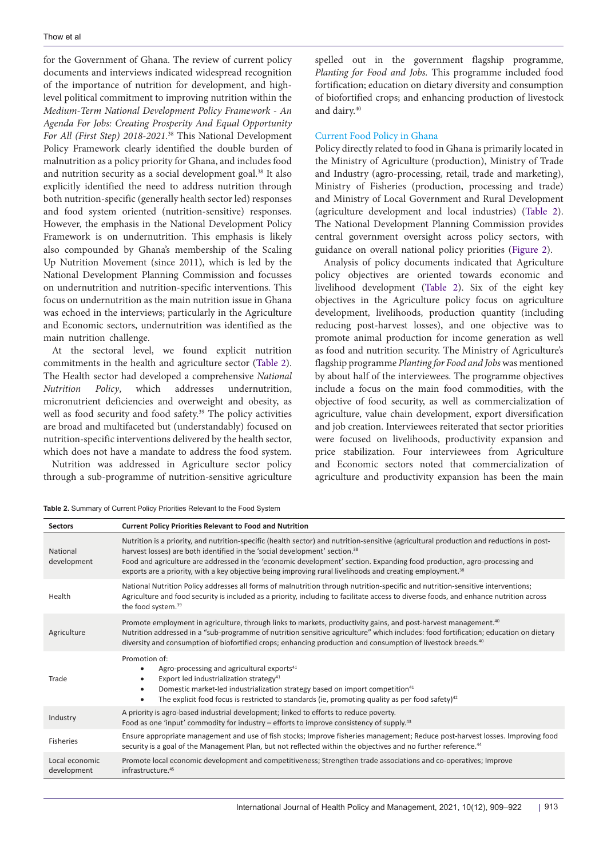for the Government of Ghana. The review of current policy documents and interviews indicated widespread recognition of the importance of nutrition for development, and highlevel political commitment to improving nutrition within the *Medium-Term National Development Policy Framework - An Agenda For Jobs: Creating Prosperity And Equal Opportunity For All (First Step) 2018-2021.*38 This National Development Policy Framework clearly identified the double burden of malnutrition as a policy priority for Ghana, and includes food and nutrition security as a social development goal.38 It also explicitly identified the need to address nutrition through both nutrition-specific (generally health sector led) responses and food system oriented (nutrition-sensitive) responses. However, the emphasis in the National Development Policy Framework is on undernutrition. This emphasis is likely also compounded by Ghana's membership of the Scaling Up Nutrition Movement (since 2011), which is led by the National Development Planning Commission and focusses on undernutrition and nutrition-specific interventions. This focus on undernutrition as the main nutrition issue in Ghana was echoed in the interviews; particularly in the Agriculture and Economic sectors, undernutrition was identified as the main nutrition challenge.

At the sectoral level, we found explicit nutrition commitments in the health and agriculture sector [\(Table 2\)](#page-4-0). The Health sector had developed a comprehensive *National Nutrition Policy*, which addresses undernutrition, micronutrient deficiencies and overweight and obesity, as well as food security and food safety.<sup>39</sup> The policy activities are broad and multifaceted but (understandably) focused on nutrition-specific interventions delivered by the health sector, which does not have a mandate to address the food system.

Nutrition was addressed in Agriculture sector policy through a sub-programme of nutrition-sensitive agriculture

<span id="page-4-0"></span>**Table 2.** Summary of Current Policy Priorities Relevant to the Food System

spelled out in the government flagship programme, *Planting for Food and Jobs.* This programme included food fortification; education on dietary diversity and consumption of biofortified crops; and enhancing production of livestock and dairy.40

#### Current Food Policy in Ghana

Policy directly related to food in Ghana is primarily located in the Ministry of Agriculture (production), Ministry of Trade and Industry (agro-processing, retail, trade and marketing), Ministry of Fisheries (production, processing and trade) and Ministry of Local Government and Rural Development (agriculture development and local industries) [\(Table 2](#page-4-0)). The National Development Planning Commission provides central government oversight across policy sectors, with guidance on overall national policy priorities [\(Figure 2](#page-7-0)).

Analysis of policy documents indicated that Agriculture policy objectives are oriented towards economic and livelihood development ([Table 2](#page-4-0)). Six of the eight key objectives in the Agriculture policy focus on agriculture development, livelihoods, production quantity (including reducing post-harvest losses), and one objective was to promote animal production for income generation as well as food and nutrition security. The Ministry of Agriculture's flagship programme *Planting for Food and Jobs* was mentioned by about half of the interviewees. The programme objectives include a focus on the main food commodities, with the objective of food security, as well as commercialization of agriculture, value chain development, export diversification and job creation. Interviewees reiterated that sector priorities were focused on livelihoods, productivity expansion and price stabilization. Four interviewees from Agriculture and Economic sectors noted that commercialization of agriculture and productivity expansion has been the main

| <b>Sectors</b>                | <b>Current Policy Priorities Relevant to Food and Nutrition</b>                                                                                                                                                                                                                                                                                                                                                                                                                         |
|-------------------------------|-----------------------------------------------------------------------------------------------------------------------------------------------------------------------------------------------------------------------------------------------------------------------------------------------------------------------------------------------------------------------------------------------------------------------------------------------------------------------------------------|
| National<br>development       | Nutrition is a priority, and nutrition-specific (health sector) and nutrition-sensitive (agricultural production and reductions in post-<br>harvest losses) are both identified in the 'social development' section. <sup>38</sup><br>Food and agriculture are addressed in the 'economic development' section. Expanding food production, agro-processing and<br>exports are a priority, with a key objective being improving rural livelihoods and creating employment. <sup>38</sup> |
| Health                        | National Nutrition Policy addresses all forms of malnutrition through nutrition-specific and nutrition-sensitive interventions;<br>Agriculture and food security is included as a priority, including to facilitate access to diverse foods, and enhance nutrition across<br>the food system. <sup>39</sup>                                                                                                                                                                             |
| Agriculture                   | Promote employment in agriculture, through links to markets, productivity gains, and post-harvest management. <sup>40</sup><br>Nutrition addressed in a "sub-programme of nutrition sensitive agriculture" which includes: food fortification; education on dietary<br>diversity and consumption of biofortified crops; enhancing production and consumption of livestock breeds. <sup>40</sup>                                                                                         |
| Trade                         | Promotion of:<br>Agro-processing and agricultural exports <sup>41</sup><br>Export led industrialization strategy <sup>41</sup><br>٠<br>Domestic market-led industrialization strategy based on import competition <sup>41</sup><br>$\bullet$<br>The explicit food focus is restricted to standards (ie, promoting quality as per food safety) $42$<br>$\bullet$                                                                                                                         |
| Industry                      | A priority is agro-based industrial development; linked to efforts to reduce poverty.<br>Food as one 'input' commodity for industry – efforts to improve consistency of supply. <sup>43</sup>                                                                                                                                                                                                                                                                                           |
| <b>Fisheries</b>              | Ensure appropriate management and use of fish stocks; Improve fisheries management; Reduce post-harvest losses. Improving food<br>security is a goal of the Management Plan, but not reflected within the objectives and no further reference. <sup>44</sup>                                                                                                                                                                                                                            |
| Local economic<br>development | Promote local economic development and competitiveness; Strengthen trade associations and co-operatives; Improve<br>infrastructure. <sup>45</sup>                                                                                                                                                                                                                                                                                                                                       |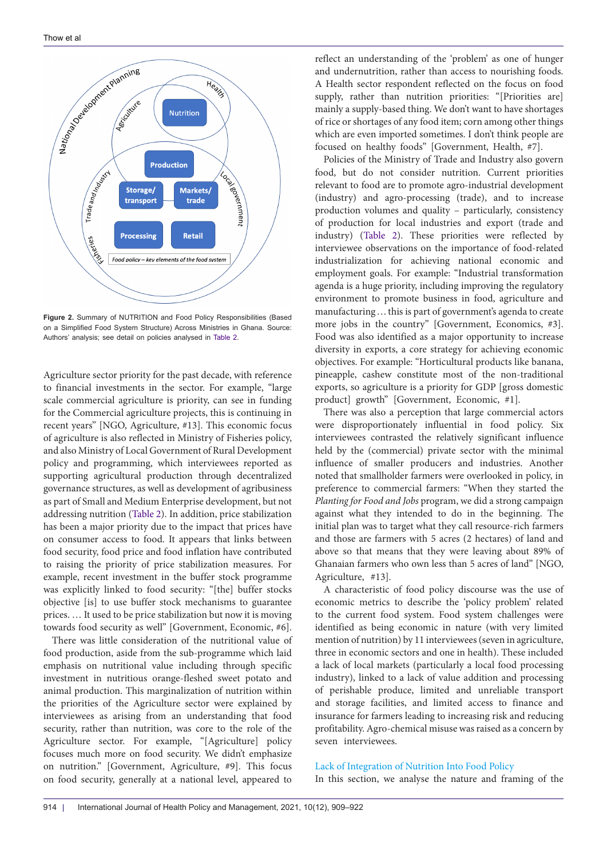

**Figure 2.** Summary of NUTRITION and Food Policy Responsibilities (Based on a Simplified Food System Structure) Across Ministries in Ghana. Source: Authors' analysis; see detail on policies analysed in [Table 2.](#page-4-0)

Agriculture sector priority for the past decade, with reference to financial investments in the sector. For example, "large scale commercial agriculture is priority, can see in funding for the Commercial agriculture projects, this is continuing in recent years" [NGO, Agriculture, #13]. This economic focus of agriculture is also reflected in Ministry of Fisheries policy, and also Ministry of Local Government of Rural Development policy and programming, which interviewees reported as supporting agricultural production through decentralized governance structures, as well as development of agribusiness as part of Small and Medium Enterprise development, but not addressing nutrition ([Table 2\)](#page-4-0). In addition, price stabilization has been a major priority due to the impact that prices have on consumer access to food. It appears that links between food security, food price and food inflation have contributed to raising the priority of price stabilization measures. For example, recent investment in the buffer stock programme was explicitly linked to food security: "[the] buffer stocks objective [is] to use buffer stock mechanisms to guarantee prices. … It used to be price stabilization but now it is moving towards food security as well" [Government, Economic, #6].

There was little consideration of the nutritional value of food production, aside from the sub-programme which laid emphasis on nutritional value including through specific investment in nutritious orange-fleshed sweet potato and animal production. This marginalization of nutrition within the priorities of the Agriculture sector were explained by interviewees as arising from an understanding that food security, rather than nutrition, was core to the role of the Agriculture sector. For example, "[Agriculture] policy focuses much more on food security. We didn't emphasize on nutrition." [Government, Agriculture, #9]. This focus on food security, generally at a national level, appeared to

reflect an understanding of the 'problem' as one of hunger and undernutrition, rather than access to nourishing foods. A Health sector respondent reflected on the focus on food supply, rather than nutrition priorities: "[Priorities are] mainly a supply-based thing. We don't want to have shortages of rice or shortages of any food item; corn among other things which are even imported sometimes. I don't think people are focused on healthy foods" [Government, Health, #7].

Policies of the Ministry of Trade and Industry also govern food, but do not consider nutrition. Current priorities relevant to food are to promote agro-industrial development (industry) and agro-processing (trade), and to increase production volumes and quality – particularly, consistency of production for local industries and export (trade and industry) ([Table 2\)](#page-4-0). These priorities were reflected by interviewee observations on the importance of food-related industrialization for achieving national economic and employment goals. For example: "Industrial transformation agenda is a huge priority, including improving the regulatory environment to promote business in food, agriculture and manufacturing ... this is part of government's agenda to create more jobs in the country" [Government, Economics, #3]. Food was also identified as a major opportunity to increase diversity in exports, a core strategy for achieving economic objectives. For example: "Horticultural products like banana, pineapple, cashew constitute most of the non-traditional exports, so agriculture is a priority for GDP [gross domestic product] growth" [Government, Economic, #1].

There was also a perception that large commercial actors were disproportionately influential in food policy. Six interviewees contrasted the relatively significant influence held by the (commercial) private sector with the minimal influence of smaller producers and industries. Another noted that smallholder farmers were overlooked in policy, in preference to commercial farmers: "When they started the *Planting for Food and Jobs* program, we did a strong campaign against what they intended to do in the beginning. The initial plan was to target what they call resource-rich farmers and those are farmers with 5 acres (2 hectares) of land and above so that means that they were leaving about 89% of Ghanaian farmers who own less than 5 acres of land" [NGO, Agriculture, #13].

A characteristic of food policy discourse was the use of economic metrics to describe the 'policy problem' related to the current food system. Food system challenges were identified as being economic in nature (with very limited mention of nutrition) by 11 interviewees (seven in agriculture, three in economic sectors and one in health). These included a lack of local markets (particularly a local food processing industry), linked to a lack of value addition and processing of perishable produce, limited and unreliable transport and storage facilities, and limited access to finance and insurance for farmers leading to increasing risk and reducing profitability. Agro-chemical misuse was raised as a concern by seven interviewees.

#### Lack of Integration of Nutrition Into Food Policy

In this section, we analyse the nature and framing of the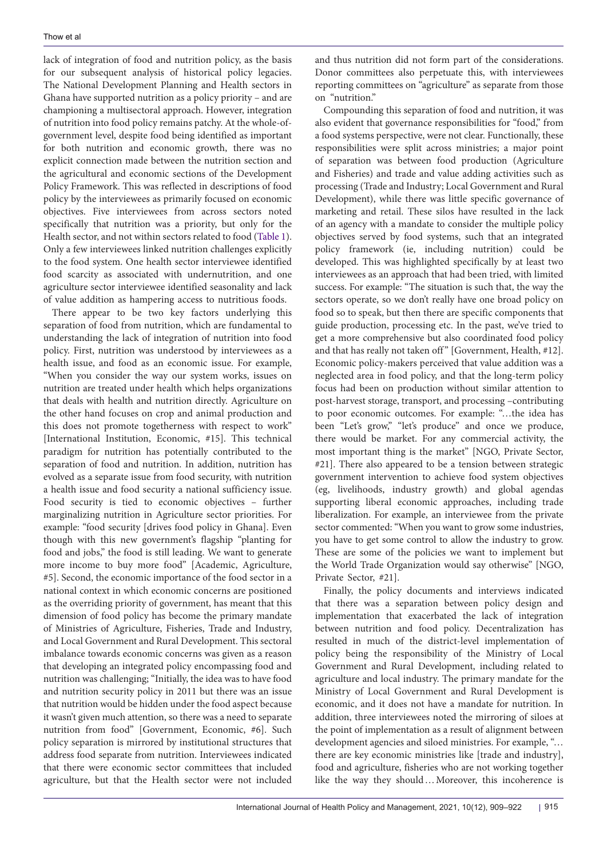lack of integration of food and nutrition policy, as the basis for our subsequent analysis of historical policy legacies. The National Development Planning and Health sectors in Ghana have supported nutrition as a policy priority – and are championing a multisectoral approach. However, integration of nutrition into food policy remains patchy. At the whole-ofgovernment level, despite food being identified as important for both nutrition and economic growth, there was no explicit connection made between the nutrition section and the agricultural and economic sections of the Development Policy Framework. This was reflected in descriptions of food policy by the interviewees as primarily focused on economic objectives. Five interviewees from across sectors noted specifically that nutrition was a priority, but only for the Health sector, and not within sectors related to food [\(Table 1\)](#page-3-0). Only a few interviewees linked nutrition challenges explicitly to the food system. One health sector interviewee identified food scarcity as associated with undernutrition, and one agriculture sector interviewee identified seasonality and lack of value addition as hampering access to nutritious foods.

There appear to be two key factors underlying this separation of food from nutrition, which are fundamental to understanding the lack of integration of nutrition into food policy. First, nutrition was understood by interviewees as a health issue, and food as an economic issue. For example, "When you consider the way our system works, issues on nutrition are treated under health which helps organizations that deals with health and nutrition directly. Agriculture on the other hand focuses on crop and animal production and this does not promote togetherness with respect to work" [International Institution, Economic, #15]. This technical paradigm for nutrition has potentially contributed to the separation of food and nutrition. In addition, nutrition has evolved as a separate issue from food security, with nutrition a health issue and food security a national sufficiency issue. Food security is tied to economic objectives – further marginalizing nutrition in Agriculture sector priorities. For example: "food security [drives food policy in Ghana]. Even though with this new government's flagship "planting for food and jobs," the food is still leading. We want to generate more income to buy more food" [Academic, Agriculture, #5]. Second, the economic importance of the food sector in a national context in which economic concerns are positioned as the overriding priority of government, has meant that this dimension of food policy has become the primary mandate of Ministries of Agriculture, Fisheries, Trade and Industry, and Local Government and Rural Development. This sectoral imbalance towards economic concerns was given as a reason that developing an integrated policy encompassing food and nutrition was challenging; "Initially, the idea was to have food and nutrition security policy in 2011 but there was an issue that nutrition would be hidden under the food aspect because it wasn't given much attention, so there was a need to separate nutrition from food" [Government, Economic, #6]. Such policy separation is mirrored by institutional structures that address food separate from nutrition. Interviewees indicated that there were economic sector committees that included agriculture, but that the Health sector were not included

and thus nutrition did not form part of the considerations. Donor committees also perpetuate this, with interviewees reporting committees on "agriculture" as separate from those on "nutrition."

Compounding this separation of food and nutrition, it was also evident that governance responsibilities for "food," from a food systems perspective, were not clear. Functionally, these responsibilities were split across ministries; a major point of separation was between food production (Agriculture and Fisheries) and trade and value adding activities such as processing (Trade and Industry; Local Government and Rural Development), while there was little specific governance of marketing and retail. These silos have resulted in the lack of an agency with a mandate to consider the multiple policy objectives served by food systems, such that an integrated policy framework (ie, including nutrition) could be developed. This was highlighted specifically by at least two interviewees as an approach that had been tried, with limited success. For example: "The situation is such that, the way the sectors operate, so we don't really have one broad policy on food so to speak, but then there are specific components that guide production, processing etc. In the past, we've tried to get a more comprehensive but also coordinated food policy and that has really not taken off" [Government, Health, #12]. Economic policy-makers perceived that value addition was a neglected area in food policy, and that the long-term policy focus had been on production without similar attention to post-harvest storage, transport, and processing –contributing to poor economic outcomes. For example: "…the idea has been "Let's grow," "let's produce" and once we produce, there would be market. For any commercial activity, the most important thing is the market" [NGO, Private Sector, #21]. There also appeared to be a tension between strategic government intervention to achieve food system objectives (eg, livelihoods, industry growth) and global agendas supporting liberal economic approaches, including trade liberalization. For example, an interviewee from the private sector commented: "When you want to grow some industries, you have to get some control to allow the industry to grow. These are some of the policies we want to implement but the World Trade Organization would say otherwise" [NGO, Private Sector, #21].

Finally, the policy documents and interviews indicated that there was a separation between policy design and implementation that exacerbated the lack of integration between nutrition and food policy. Decentralization has resulted in much of the district-level implementation of policy being the responsibility of the Ministry of Local Government and Rural Development, including related to agriculture and local industry. The primary mandate for the Ministry of Local Government and Rural Development is economic, and it does not have a mandate for nutrition. In addition, three interviewees noted the mirroring of siloes at the point of implementation as a result of alignment between development agencies and siloed ministries. For example, "… there are key economic ministries like [trade and industry], food and agriculture, fisheries who are not working together like the way they should…Moreover, this incoherence is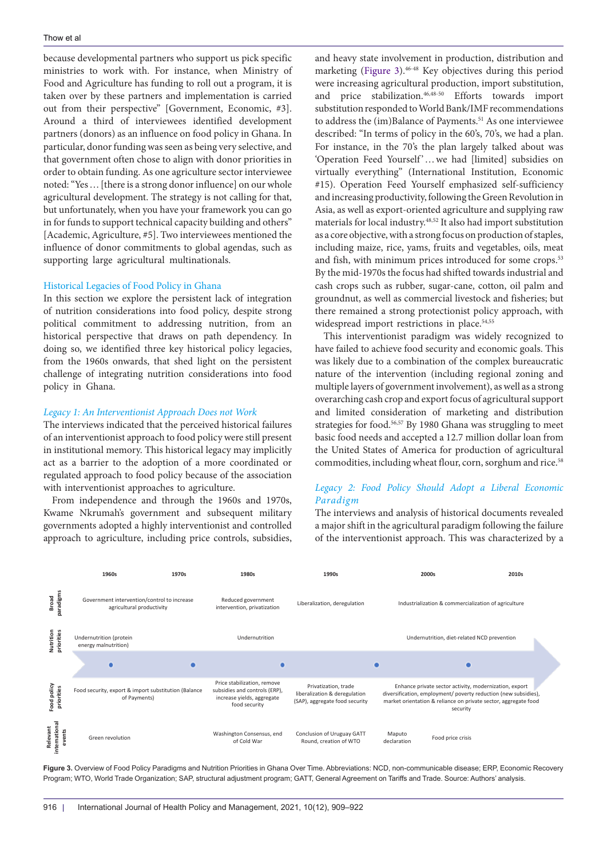because developmental partners who support us pick specific ministries to work with. For instance, when Ministry of Food and Agriculture has funding to roll out a program, it is taken over by these partners and implementation is carried out from their perspective" [Government, Economic, #3]. Around a third of interviewees identified development partners (donors) as an influence on food policy in Ghana. In particular, donor funding was seen as being very selective, and that government often chose to align with donor priorities in order to obtain funding. As one agriculture sector interviewee noted: "Yes…[there is a strong donor influence] on our whole agricultural development. The strategy is not calling for that, but unfortunately, when you have your framework you can go in for funds to support technical capacity building and others" [Academic, Agriculture, #5]. Two interviewees mentioned the influence of donor commitments to global agendas, such as supporting large agricultural multinationals.

#### Historical Legacies of Food Policy in Ghana

In this section we explore the persistent lack of integration of nutrition considerations into food policy, despite strong political commitment to addressing nutrition, from an historical perspective that draws on path dependency. In doing so, we identified three key historical policy legacies, from the 1960s onwards, that shed light on the persistent challenge of integrating nutrition considerations into food policy in Ghana.

#### *Legacy 1: An Interventionist Approach Does not Work*

The interviews indicated that the perceived historical failures of an interventionist approach to food policy were still present in institutional memory. This historical legacy may implicitly act as a barrier to the adoption of a more coordinated or regulated approach to food policy because of the association with interventionist approaches to agriculture.

From independence and through the 1960s and 1970s, Kwame Nkrumah's government and subsequent military governments adopted a highly interventionist and controlled approach to agriculture, including price controls, subsidies, and heavy state involvement in production, distribution and marketing [\(Figure 3\)](#page-7-0).<sup>46-48</sup> Key objectives during this period were increasing agricultural production, import substitution, and price stabilization.46,48-50 Efforts towards import substitution responded to World Bank/IMF recommendations to address the (im)Balance of Payments.<sup>51</sup> As one interviewee described: "In terms of policy in the 60's, 70's, we had a plan. For instance, in the 70's the plan largely talked about was 'Operation Feed Yourself' ... we had [limited] subsidies on virtually everything" (International Institution, Economic #15). Operation Feed Yourself emphasized self-sufficiency and increasing productivity, following the Green Revolution in Asia, as well as export-oriented agriculture and supplying raw materials for local industry.48,52 It also had import substitution as a core objective, with a strong focus on production of staples, including maize, rice, yams, fruits and vegetables, oils, meat and fish, with minimum prices introduced for some crops.<sup>53</sup> By the mid-1970s the focus had shifted towards industrial and cash crops such as rubber, sugar-cane, cotton, oil palm and groundnut, as well as commercial livestock and fisheries; but there remained a strong protectionist policy approach, with widespread import restrictions in place.<sup>54,55</sup>

This interventionist paradigm was widely recognized to have failed to achieve food security and economic goals. This was likely due to a combination of the complex bureaucratic nature of the intervention (including regional zoning and multiple layers of government involvement), as well as a strong overarching cash crop and export focus of agricultural support and limited consideration of marketing and distribution strategies for food.<sup>56,57</sup> By 1980 Ghana was struggling to meet basic food needs and accepted a 12.7 million dollar loan from the United States of America for production of agricultural commodities, including wheat flour, corn, sorghum and rice.<sup>58</sup>

# *Legacy 2: Food Policy Should Adopt a Liberal Economic Paradigm*

<span id="page-7-0"></span>The interviews and analysis of historical documents revealed a major shift in the agricultural paradigm following the failure of the interventionist approach. This was characterized by a



**Figure 3.** Overview of Food Policy Paradigms and Nutrition Priorities in Ghana Over Time. Abbreviations: NCD, non-communicable disease; ERP, Economic Recovery Program; WTO, World Trade Organization; SAP, structural adjustment program; GATT, General Agreement on Tariffs and Trade. Source: Authors' analysis.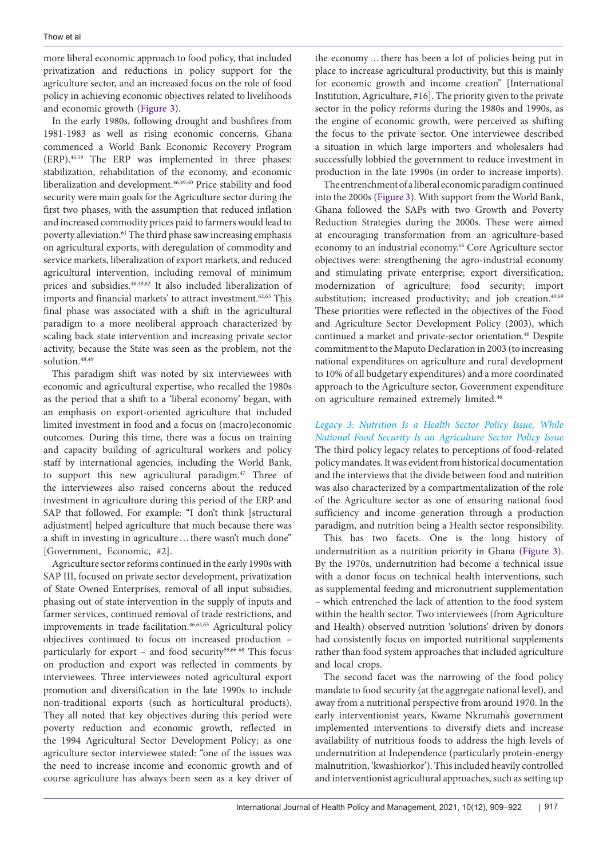more liberal economic approach to food policy, that included privatization and reductions in policy support for the agriculture sector, and an increased focus on the role of food policy in achieving economic objectives related to livelihoods and economic growth ([Figure 3\)](#page-7-0).

In the early 1980s, following drought and bushfires from 1981-1983 as well as rising economic concerns, Ghana commenced a World Bank Economic Recovery Program (ERP).46,59 The ERP was implemented in three phases: stabilization, rehabilitation of the economy, and economic liberalization and development.46,49,60 Price stability and food security were main goals for the Agriculture sector during the first two phases, with the assumption that reduced inflation and increased commodity prices paid to farmers would lead to poverty alleviation.<sup>61</sup> The third phase saw increasing emphasis on agricultural exports, with deregulation of commodity and service markets, liberalization of export markets, and reduced agricultural intervention, including removal of minimum prices and subsidies.46,49,62 It also included liberalization of imports and financial markets' to attract investment.<sup>62,63</sup> This final phase was associated with a shift in the agricultural paradigm to a more neoliberal approach characterized by scaling back state intervention and increasing private sector activity, because the State was seen as the problem, not the solution.<sup>48,49</sup>

This paradigm shift was noted by six interviewees with economic and agricultural expertise, who recalled the 1980s as the period that a shift to a 'liberal economy' began, with an emphasis on export-oriented agriculture that included limited investment in food and a focus on (macro)economic outcomes. During this time, there was a focus on training and capacity building of agricultural workers and policy staff by international agencies, including the World Bank, to support this new agricultural paradigm.47 Three of the interviewees also raised concerns about the reduced investment in agriculture during this period of the ERP and SAP that followed. For example: "I don't think [structural adjustment] helped agriculture that much because there was a shift in investing in agriculture ... there wasn't much done" [Government, Economic, #2].

Agriculture sector reforms continued in the early 1990s with SAP III, focused on private sector development, privatization of State Owned Enterprises, removal of all input subsidies, phasing out of state intervention in the supply of inputs and farmer services, continued removal of trade restrictions, and improvements in trade facilitation.<sup>46,64,65</sup> Agricultural policy objectives continued to focus on increased production – particularly for export – and food security $59,66-68$  This focus on production and export was reflected in comments by interviewees. Three interviewees noted agricultural export promotion and diversification in the late 1990s to include non-traditional exports (such as horticultural products). They all noted that key objectives during this period were poverty reduction and economic growth, reflected in the 1994 Agricultural Sector Development Policy; as one agriculture sector interviewee stated: "one of the issues was the need to increase income and economic growth and of course agriculture has always been seen as a key driver of the economy…there has been a lot of policies being put in place to increase agricultural productivity, but this is mainly for economic growth and income creation" [International Institution, Agriculture, #16]. The priority given to the private sector in the policy reforms during the 1980s and 1990s, as the engine of economic growth, were perceived as shifting the focus to the private sector. One interviewee described a situation in which large importers and wholesalers had successfully lobbied the government to reduce investment in production in the late 1990s (in order to increase imports).

The entrenchment of a liberal economic paradigm continued into the 2000s [\(Figure 3\)](#page-7-0). With support from the World Bank, Ghana followed the SAPs with two Growth and Poverty Reduction Strategies during the 2000s. These were aimed at encouraging transformation from an agriculture-based economy to an industrial economy.<sup>66</sup> Core Agriculture sector objectives were: strengthening the agro-industrial economy and stimulating private enterprise; export diversification; modernization of agriculture; food security; import substitution; increased productivity; and job creation.<sup>49,69</sup> These priorities were reflected in the objectives of the Food and Agriculture Sector Development Policy (2003), which continued a market and private-sector orientation.<sup>46</sup> Despite commitment to the Maputo Declaration in 2003 (to increasing national expenditures on agriculture and rural development to 10% of all budgetary expenditures) and a more coordinated approach to the Agriculture sector, Government expenditure on agriculture remained extremely limited.46

*Legacy 3: Nutrition Is a Health Sector Policy Issue, While National Food Security Is an Agriculture Sector Policy Issue* The third policy legacy relates to perceptions of food-related policy mandates. It was evident from historical documentation and the interviews that the divide between food and nutrition was also characterized by a compartmentalization of the role of the Agriculture sector as one of ensuring national food sufficiency and income generation through a production paradigm, and nutrition being a Health sector responsibility.

This has two facets. One is the long history of undernutrition as a nutrition priority in Ghana ([Figure 3](#page-7-0)). By the 1970s, undernutrition had become a technical issue with a donor focus on technical health interventions, such as supplemental feeding and micronutrient supplementation – which entrenched the lack of attention to the food system within the health sector. Two interviewees (from Agriculture and Health) observed nutrition 'solutions' driven by donors had consistently focus on imported nutritional supplements rather than food system approaches that included agriculture and local crops.

The second facet was the narrowing of the food policy mandate to food security (at the aggregate national level), and away from a nutritional perspective from around 1970. In the early interventionist years, Kwame Nkrumah's government implemented interventions to diversify diets and increase availability of nutritious foods to address the high levels of undernutrition at Independence (particularly protein-energy malnutrition, 'kwashiorkor'). This included heavily controlled and interventionist agricultural approaches, such as setting up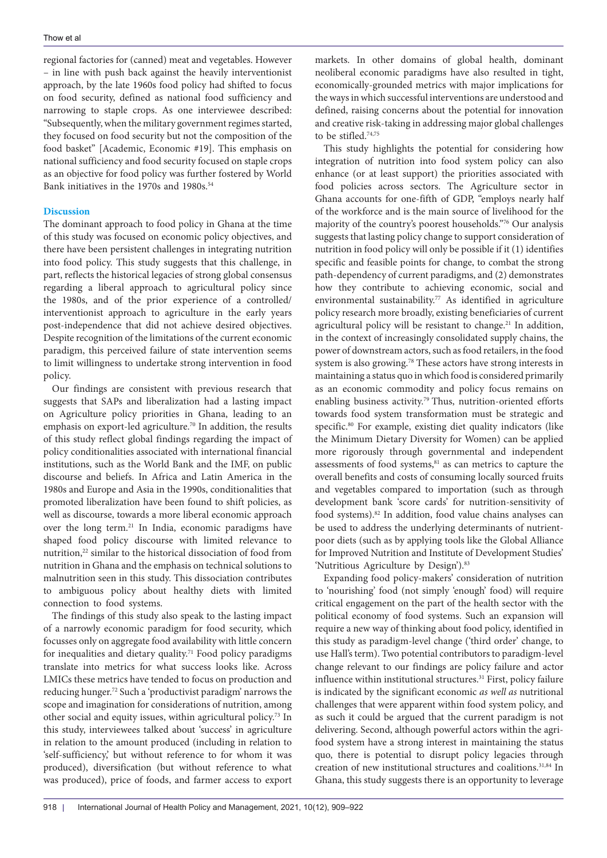regional factories for (canned) meat and vegetables. However – in line with push back against the heavily interventionist approach, by the late 1960s food policy had shifted to focus on food security, defined as national food sufficiency and narrowing to staple crops. As one interviewee described: "Subsequently, when the military government regimes started, they focused on food security but not the composition of the food basket" [Academic, Economic #19]. This emphasis on national sufficiency and food security focused on staple crops as an objective for food policy was further fostered by World Bank initiatives in the 1970s and 1980s.<sup>54</sup>

# **Discussion**

The dominant approach to food policy in Ghana at the time of this study was focused on economic policy objectives, and there have been persistent challenges in integrating nutrition into food policy. This study suggests that this challenge, in part, reflects the historical legacies of strong global consensus regarding a liberal approach to agricultural policy since the 1980s, and of the prior experience of a controlled/ interventionist approach to agriculture in the early years post-independence that did not achieve desired objectives. Despite recognition of the limitations of the current economic paradigm, this perceived failure of state intervention seems to limit willingness to undertake strong intervention in food policy.

Our findings are consistent with previous research that suggests that SAPs and liberalization had a lasting impact on Agriculture policy priorities in Ghana, leading to an emphasis on export-led agriculture.<sup>70</sup> In addition, the results of this study reflect global findings regarding the impact of policy conditionalities associated with international financial institutions, such as the World Bank and the IMF, on public discourse and beliefs. In Africa and Latin America in the 1980s and Europe and Asia in the 1990s, conditionalities that promoted liberalization have been found to shift policies, as well as discourse, towards a more liberal economic approach over the long term.<sup>21</sup> In India, economic paradigms have shaped food policy discourse with limited relevance to nutrition,<sup>22</sup> similar to the historical dissociation of food from nutrition in Ghana and the emphasis on technical solutions to malnutrition seen in this study. This dissociation contributes to ambiguous policy about healthy diets with limited connection to food systems.

The findings of this study also speak to the lasting impact of a narrowly economic paradigm for food security, which focusses only on aggregate food availability with little concern for inequalities and dietary quality.<sup>71</sup> Food policy paradigms translate into metrics for what success looks like. Across LMICs these metrics have tended to focus on production and reducing hunger.72 Such a 'productivist paradigm' narrows the scope and imagination for considerations of nutrition, among other social and equity issues, within agricultural policy.73 In this study, interviewees talked about 'success' in agriculture in relation to the amount produced (including in relation to 'self-sufficiency,' but without reference to for whom it was produced), diversification (but without reference to what was produced), price of foods, and farmer access to export

markets. In other domains of global health, dominant neoliberal economic paradigms have also resulted in tight, economically-grounded metrics with major implications for the ways in which successful interventions are understood and defined, raising concerns about the potential for innovation and creative risk-taking in addressing major global challenges to be stifled.74,75

This study highlights the potential for considering how integration of nutrition into food system policy can also enhance (or at least support) the priorities associated with food policies across sectors. The Agriculture sector in Ghana accounts for one-fifth of GDP, "employs nearly half of the workforce and is the main source of livelihood for the majority of the country's poorest households."76 Our analysis suggests that lasting policy change to support consideration of nutrition in food policy will only be possible if it (1) identifies specific and feasible points for change, to combat the strong path-dependency of current paradigms, and (2) demonstrates how they contribute to achieving economic, social and environmental sustainability.<sup>77</sup> As identified in agriculture policy research more broadly, existing beneficiaries of current agricultural policy will be resistant to change.<sup>21</sup> In addition, in the context of increasingly consolidated supply chains, the power of downstream actors, such as food retailers, in the food system is also growing.78 These actors have strong interests in maintaining a status quo in which food is considered primarily as an economic commodity and policy focus remains on enabling business activity.<sup>79</sup> Thus, nutrition-oriented efforts towards food system transformation must be strategic and specific.<sup>80</sup> For example, existing diet quality indicators (like the Minimum Dietary Diversity for Women) can be applied more rigorously through governmental and independent assessments of food systems,<sup>81</sup> as can metrics to capture the overall benefits and costs of consuming locally sourced fruits and vegetables compared to importation (such as through development bank 'score cards' for nutrition-sensitivity of food systems).<sup>82</sup> In addition, food value chains analyses can be used to address the underlying determinants of nutrientpoor diets (such as by applying tools like the Global Alliance for Improved Nutrition and Institute of Development Studies' 'Nutritious Agriculture by Design').<sup>83</sup>

Expanding food policy-makers' consideration of nutrition to 'nourishing' food (not simply 'enough' food) will require critical engagement on the part of the health sector with the political economy of food systems. Such an expansion will require a new way of thinking about food policy, identified in this study as paradigm-level change ('third order' change, to use Hall's term). Two potential contributors to paradigm-level change relevant to our findings are policy failure and actor influence within institutional structures.<sup>31</sup> First, policy failure is indicated by the significant economic *as well as* nutritional challenges that were apparent within food system policy, and as such it could be argued that the current paradigm is not delivering. Second, although powerful actors within the agrifood system have a strong interest in maintaining the status quo, there is potential to disrupt policy legacies through creation of new institutional structures and coalitions.<sup>31,84</sup> In Ghana, this study suggests there is an opportunity to leverage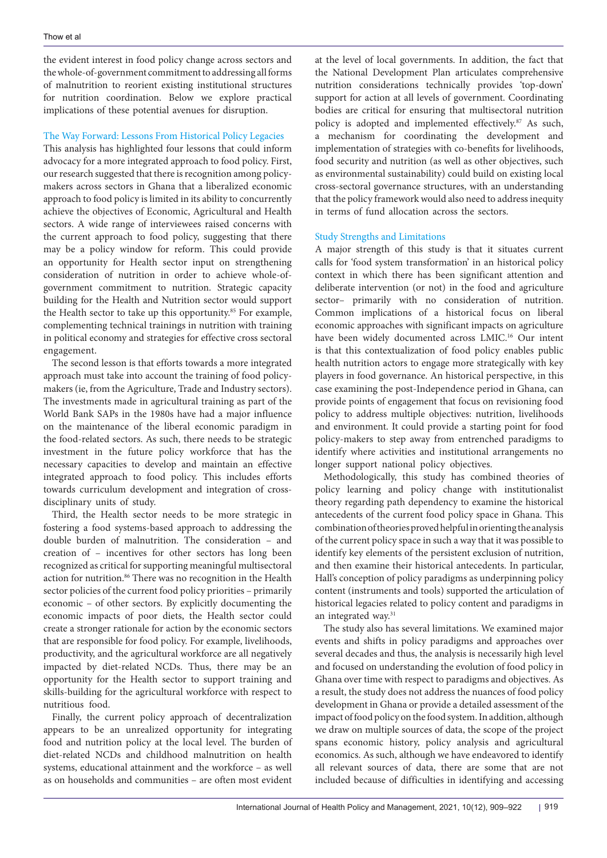the evident interest in food policy change across sectors and the whole-of-government commitment to addressing all forms of malnutrition to reorient existing institutional structures for nutrition coordination. Below we explore practical implications of these potential avenues for disruption.

# The Way Forward: Lessons From Historical Policy Legacies

This analysis has highlighted four lessons that could inform advocacy for a more integrated approach to food policy. First, our research suggested that there is recognition among policymakers across sectors in Ghana that a liberalized economic approach to food policy is limited in its ability to concurrently achieve the objectives of Economic, Agricultural and Health sectors. A wide range of interviewees raised concerns with the current approach to food policy, suggesting that there may be a policy window for reform. This could provide an opportunity for Health sector input on strengthening consideration of nutrition in order to achieve whole-ofgovernment commitment to nutrition. Strategic capacity building for the Health and Nutrition sector would support the Health sector to take up this opportunity.<sup>85</sup> For example, complementing technical trainings in nutrition with training in political economy and strategies for effective cross sectoral engagement.

The second lesson is that efforts towards a more integrated approach must take into account the training of food policymakers (ie, from the Agriculture, Trade and Industry sectors). The investments made in agricultural training as part of the World Bank SAPs in the 1980s have had a major influence on the maintenance of the liberal economic paradigm in the food-related sectors. As such, there needs to be strategic investment in the future policy workforce that has the necessary capacities to develop and maintain an effective integrated approach to food policy. This includes efforts towards curriculum development and integration of crossdisciplinary units of study.

Third, the Health sector needs to be more strategic in fostering a food systems-based approach to addressing the double burden of malnutrition. The consideration – and creation of – incentives for other sectors has long been recognized as critical for supporting meaningful multisectoral action for nutrition.<sup>86</sup> There was no recognition in the Health sector policies of the current food policy priorities – primarily economic – of other sectors. By explicitly documenting the economic impacts of poor diets, the Health sector could create a stronger rationale for action by the economic sectors that are responsible for food policy. For example, livelihoods, productivity, and the agricultural workforce are all negatively impacted by diet-related NCDs. Thus, there may be an opportunity for the Health sector to support training and skills-building for the agricultural workforce with respect to nutritious food.

Finally, the current policy approach of decentralization appears to be an unrealized opportunity for integrating food and nutrition policy at the local level. The burden of diet-related NCDs and childhood malnutrition on health systems, educational attainment and the workforce – as well as on households and communities – are often most evident

at the level of local governments. In addition, the fact that the National Development Plan articulates comprehensive nutrition considerations technically provides 'top-down' support for action at all levels of government. Coordinating bodies are critical for ensuring that multisectoral nutrition policy is adopted and implemented effectively.<sup>87</sup> As such, a mechanism for coordinating the development and implementation of strategies with co-benefits for livelihoods, food security and nutrition (as well as other objectives, such as environmental sustainability) could build on existing local cross-sectoral governance structures, with an understanding that the policy framework would also need to address inequity in terms of fund allocation across the sectors.

## Study Strengths and Limitations

A major strength of this study is that it situates current calls for 'food system transformation' in an historical policy context in which there has been significant attention and deliberate intervention (or not) in the food and agriculture sector– primarily with no consideration of nutrition. Common implications of a historical focus on liberal economic approaches with significant impacts on agriculture have been widely documented across LMIC.<sup>16</sup> Our intent is that this contextualization of food policy enables public health nutrition actors to engage more strategically with key players in food governance. An historical perspective, in this case examining the post-Independence period in Ghana, can provide points of engagement that focus on revisioning food policy to address multiple objectives: nutrition, livelihoods and environment. It could provide a starting point for food policy-makers to step away from entrenched paradigms to identify where activities and institutional arrangements no longer support national policy objectives.

Methodologically, this study has combined theories of policy learning and policy change with institutionalist theory regarding path dependency to examine the historical antecedents of the current food policy space in Ghana. This combination of theories proved helpful in orienting the analysis of the current policy space in such a way that it was possible to identify key elements of the persistent exclusion of nutrition, and then examine their historical antecedents. In particular, Hall's conception of policy paradigms as underpinning policy content (instruments and tools) supported the articulation of historical legacies related to policy content and paradigms in an integrated way.<sup>31</sup>

The study also has several limitations. We examined major events and shifts in policy paradigms and approaches over several decades and thus, the analysis is necessarily high level and focused on understanding the evolution of food policy in Ghana over time with respect to paradigms and objectives. As a result, the study does not address the nuances of food policy development in Ghana or provide a detailed assessment of the impact of food policy on the food system. In addition, although we draw on multiple sources of data, the scope of the project spans economic history, policy analysis and agricultural economics. As such, although we have endeavored to identify all relevant sources of data, there are some that are not included because of difficulties in identifying and accessing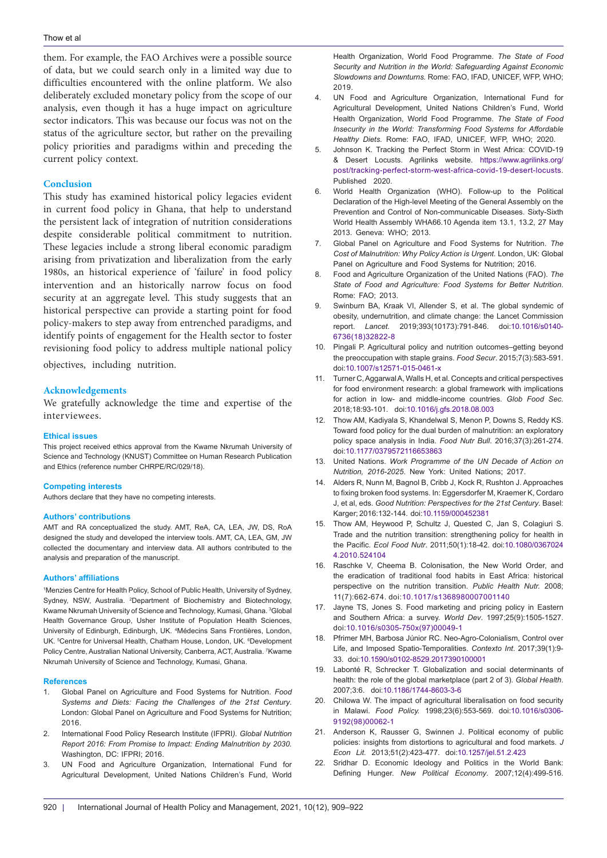them. For example, the FAO Archives were a possible source of data, but we could search only in a limited way due to difficulties encountered with the online platform. We also deliberately excluded monetary policy from the scope of our analysis, even though it has a huge impact on agriculture sector indicators. This was because our focus was not on the status of the agriculture sector, but rather on the prevailing policy priorities and paradigms within and preceding the current policy context.

#### **Conclusion**

This study has examined historical policy legacies evident in current food policy in Ghana, that help to understand the persistent lack of integration of nutrition considerations despite considerable political commitment to nutrition. These legacies include a strong liberal economic paradigm arising from privatization and liberalization from the early 1980s, an historical experience of 'failure' in food policy intervention and an historically narrow focus on food security at an aggregate level. This study suggests that an historical perspective can provide a starting point for food policy-makers to step away from entrenched paradigms, and identify points of engagement for the Health sector to foster revisioning food policy to address multiple national policy

objectives, including nutrition.

#### **Acknowledgements**

We gratefully acknowledge the time and expertise of the interviewees.

#### **Ethical issues**

This project received ethics approval from the Kwame Nkrumah University of Science and Technology (KNUST) Committee on Human Research Publication and Ethics (reference number CHRPE/RC/029/18).

#### **Competing interests**

Authors declare that they have no competing interests.

#### **Authors' contributions**

AMT and RA conceptualized the study. AMT, ReA, CA, LEA, JW, DS, RoA designed the study and developed the interview tools. AMT, CA, LEA, GM, JW collected the documentary and interview data. All authors contributed to the analysis and preparation of the manuscript.

#### **Authors' affiliations**

1 Menzies Centre for Health Policy, School of Public Health, University of Sydney, Sydney, NSW, Australia. <sup>2</sup>Department of Biochemistry and Biotechnology, Kwame Nkrumah University of Science and Technology, Kumasi, Ghana. <sup>3</sup>Global Health Governance Group, Usher Institute of Population Health Sciences, University of Edinburgh, Edinburgh, UK. <sup>4</sup>Médecins Sans Frontières, London, UK. <sup>5</sup>Centre for Universal Health, Chatham House, London, UK. <sup>6</sup>Development Policy Centre, Australian National University, Canberra, ACT, Australia. 7 Kwame Nkrumah University of Science and Technology, Kumasi, Ghana.

#### **References**

- 1. Global Panel on Agriculture and Food Systems for Nutrition. *Food Systems and Diets: Facing the Challenges of the 21st Century*. London: Global Panel on Agriculture and Food Systems for Nutrition; 2016.
- 2. International Food Policy Research Institute (IFPRI*). Global Nutrition Report 2016: From Promise to Impact: Ending Malnutrition by 2030.*  Washington, DC: IFPRI; 2016.
- 3. UN Food and Agriculture Organization, International Fund for Agricultural Development, United Nations Children's Fund, World

Health Organization, World Food Programme. *The State of Food Security and Nutrition in the World: Safeguarding Against Economic Slowdowns and Downturns.* Rome: FAO, IFAD, UNICEF, WFP, WHO; 2019.

- 4. UN Food and Agriculture Organization, International Fund for Agricultural Development, United Nations Children's Fund, World Health Organization, World Food Programme. *The State of Food Insecurity in the World: Transforming Food Systems for Affordable Healthy Diets.* Rome: FAO, IFAD, UNICEF, WFP, WHO; 2020.
- 5. Johnson K. Tracking the Perfect Storm in West Africa: COVID-19 & Desert Locusts. Agrilinks website. [https://www.agrilinks.org/](https://www.agrilinks.org/post/tracking-perfect-storm-west-africa-covid-19-desert-locusts) [post/tracking-perfect-storm-west-africa-covid-19-desert-locusts.](https://www.agrilinks.org/post/tracking-perfect-storm-west-africa-covid-19-desert-locusts) Published 2020.
- World Health Organization (WHO). Follow-up to the Political Declaration of the High-level Meeting of the General Assembly on the Prevention and Control of Non-communicable Diseases. Sixty-Sixth World Health Assembly WHA66.10 Agenda item 13.1, 13.2, 27 May 2013. Geneva: WHO; 2013.
- 7. Global Panel on Agriculture and Food Systems for Nutrition. *The Cost of Malnutrition: Why Policy Action is Urgent.* London, UK: Global Panel on Agriculture and Food Systems for Nutrition; 2016.
- 8. Food and Agriculture Organization of the United Nations (FAO). *The State of Food and Agriculture: Food Systems for Better Nutrition*. Rome: FAO; 2013.
- 9. Swinburn BA, Kraak VI, Allender S, et al. The global syndemic of obesity, undernutrition, and climate change: the Lancet Commission report. *Lancet*. 2019;393(10173):791-846. doi[:10.1016/s0140-](https://doi.org/10.1016/s0140-6736(18)32822-8) [6736\(18\)32822-8](https://doi.org/10.1016/s0140-6736(18)32822-8)
- 10. Pingali P. Agricultural policy and nutrition outcomes–getting beyond the preoccupation with staple grains. *Food Secur*. 2015;7(3):583-591. doi[:10.1007/s12571-015-0461-x](https://doi.org/10.1007/s12571-015-0461-x)
- 11. Turner C, Aggarwal A, Walls H, et al. Concepts and critical perspectives for food environment research: a global framework with implications for action in low- and middle-income countries. *Glob Food Sec*. 2018;18:93-101. doi[:10.1016/j.gfs.2018.08.003](https://doi.org/10.1016/j.gfs.2018.08.003)
- 12. Thow AM, Kadiyala S, Khandelwal S, Menon P, Downs S, Reddy KS. Toward food policy for the dual burden of malnutrition: an exploratory policy space analysis in India. *Food Nutr Bull*. 2016;37(3):261-274. doi[:10.1177/0379572116653863](https://doi.org/10.1177/0379572116653863)
- 13. United Nations. *Work Programme of the UN Decade of Action on Nutrition, 2016-2025*. New York: United Nations; 2017.
- 14. Alders R, Nunn M, Bagnol B, Cribb J, Kock R, Rushton J. Approaches to fixing broken food systems. In: Eggersdorfer M, Kraemer K, Cordaro J, et al, eds. *Good Nutrition: Perspectives for the 21st Century*. Basel: Karger; 2016:132-144. doi:[10.1159/000452381](https://doi.org/10.1159/000452381)
- 15. Thow AM, Heywood P, Schultz J, Quested C, Jan S, Colagiuri S. Trade and the nutrition transition: strengthening policy for health in the Pacific. *Ecol Food Nutr*. 2011;50(1):18-42. doi[:10.1080/0367024](https://doi.org/10.1080/03670244.2010.524104) [4.2010.524104](https://doi.org/10.1080/03670244.2010.524104)
- 16. Raschke V, Cheema B. Colonisation, the New World Order, and the eradication of traditional food habits in East Africa: historical perspective on the nutrition transition. *Public Health Nutr.* 2008; 11(7):662-674. doi:[10.1017/s1368980007001140](https://doi.org/10.1017/s1368980007001140)
- 17. Jayne TS, Jones S. Food marketing and pricing policy in Eastern and Southern Africa: a survey. *World Dev*. 1997;25(9):1505-1527. doi:[10.1016/s0305-750x\(97\)00049-1](https://doi.org/10.1016/S0305-750X(97)00049-1)
- 18. Pfrimer MH, Barbosa Júnior RC. Neo-Agro-Colonialism, Control over Life, and Imposed Spatio-Temporalities. *Contexto Int*. 2017;39(1):9- 33. doi[:10.1590/s0102-8529.2017390100001](https://doi.org/10.1590/s0102-8529.2017390100001)
- 19. Labonté R, Schrecker T. Globalization and social determinants of health: the role of the global marketplace (part 2 of 3). *Global Health*. 2007;3:6. doi:[10.1186/1744-8603-3-6](https://doi.org/10.1186/1744-8603-3-6)
- 20. Chilowa W. The impact of agricultural liberalisation on food security in Malawi. *Food Policy.* 1998;23(6):553-569. doi[:10.1016/s0306-](https://doi.org/10.1016/s0306-9192(98)00062-1) [9192\(98\)00062-1](https://doi.org/10.1016/s0306-9192(98)00062-1)
- 21. Anderson K, Rausser G, Swinnen J. Political economy of public policies: insights from distortions to agricultural and food markets*. J Econ Lit*. 2013;51(2):423-477. doi:[10.1257/jel.51.2.423](https://doi.org/10.1257/jel.51.2.423)
- 22. Sridhar D. Economic Ideology and Politics in the World Bank: Defining Hunger. *New Political Economy*. 2007;12(4):499-516.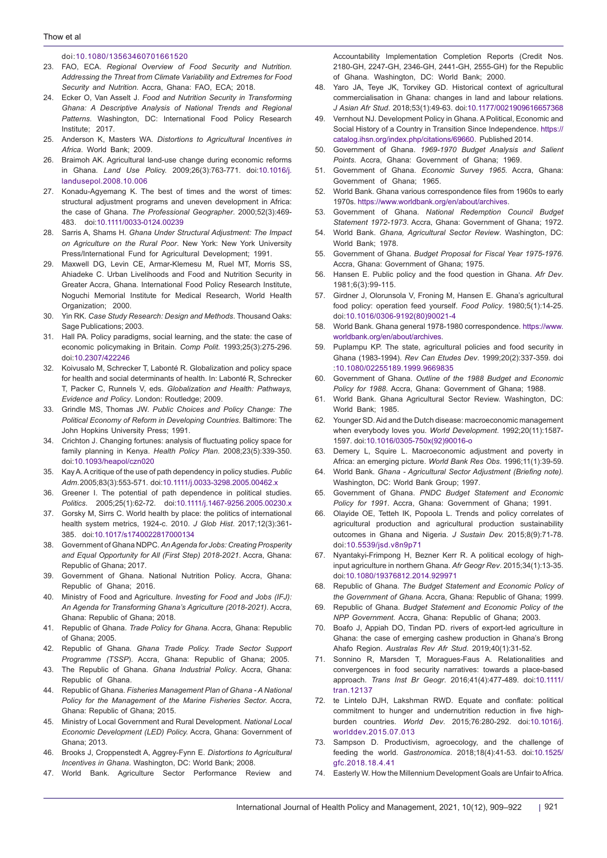#### doi:[10.1080/13563460701661520](https://doi.org/10.1080/13563460701661520)

- 23. FAO, ECA. *Regional Overview of Food Security and Nutrition. Addressing the Threat from Climate Variability and Extremes for Food Security and Nutrition*. Accra, Ghana: FAO, ECA; 2018.
- 24. Ecker O, Van Asselt J. *Food and Nutrition Security in Transforming Ghana: A Descriptive Analysis of National Trends and Regional Patterns*. Washington, DC: International Food Policy Research Institute; 2017.
- 25. Anderson K, Masters WA. *Distortions to Agricultural Incentives in Africa*. World Bank; 2009.
- 26. Braimoh AK. Agricultural land-use change during economic reforms in Ghana. *Land Use Polic*y. 2009;26(3):763-771. doi:[10.1016/j.](https://doi.org/10.1016/j.landusepol.2008.10.006) [landusepol.2008.10.006](https://doi.org/10.1016/j.landusepol.2008.10.006)
- 27. Konadu-Agyemang K. The best of times and the worst of times: structural adjustment programs and uneven development in Africa: the case of Ghana. *The Professional Geographer*. 2000;52(3):469- 483. doi:[10.1111/0033-0124.00239](https://doi.org/10.1111/0033-0124.00239)
- 28. Sarris A, Shams H*. Ghana Under Structural Adjustment: The Impact on Agriculture on the Rural Poor*. New York: New York University Press/International Fund for Agricultural Development; 1991.
- 29. Maxwell DG, Levin CE, Armar-Klemesu M, Ruel MT, Morris SS, Ahiadeke C. Urban Livelihoods and Food and Nutrition Security in Greater Accra, Ghana. International Food Policy Research Institute, Noguchi Memorial Institute for Medical Research, World Health Organization; 2000.
- 30. Yin RK. *Case Study Research: Design and Methods*. Thousand Oaks: Sage Publications: 2003.
- 31. Hall PA. Policy paradigms, social learning, and the state: the case of economic policymaking in Britain. *Comp Polit*. 1993;25(3):275-296. doi:[10.2307/422246](https://doi.org/10.2307/422246)
- 32. Koivusalo M, Schrecker T, Labonté R. Globalization and policy space for health and social determinants of health. In: Labonté R, Schrecker T, Packer C, Runnels V, eds. *Globalization and Health: Pathways, Evidence and Policy*. London: Routledge; 2009.
- 33. Grindle MS, Thomas JW. *Public Choices and Policy Change: The Political Economy of Reform in Developing Countries*. Baltimore: The John Hopkins University Press; 1991.
- 34. Crichton J. Changing fortunes: analysis of fluctuating policy space for family planning in Kenya. *Health Policy Plan*. 2008;23(5):339-350. doi:[10.1093/heapol/czn020](https://doi.org/10.1093/heapol/czn020)
- 35. Kay A. A critique of the use of path dependency in policy studies. *Public Adm*. 2005;83(3):553-571. doi:[10.1111/j.0033-3298.2005.00462.x](https://doi.org/10.1111/j.0033-3298.2005.00462.x)
- 36. Greener I. The potential of path dependence in political studies. *Politics*. 2005;25(1):62-72. doi[:10.1111/j.1467-9256.2005.00230.x](https://doi.org/10.1111/j.1467-9256.2005.00230.x)
- 37. Gorsky M, Sirrs C. World health by place: the politics of international health system metrics, 1924-c. 2010. *J Glob Hist*. 2017;12(3):361- 385. doi:[10.1017/s1740022817000134](https://doi.org/10.1017/s1740022817000134)
- 38. Government of Ghana NDPC. *An Agenda for Jobs: Creating Prosperity and Equal Opportunity for All (First Step) 2018-2021*. Accra, Ghana: Republic of Ghana; 2017.
- 39. Government of Ghana. National Nutrition Policy. Accra, Ghana: Republic of Ghana; 2016.
- 40. Ministry of Food and Agriculture. *Investing for Food and Jobs (IFJ): An Agenda for Transforming Ghana's Agriculture (2018-2021).* Accra, Ghana: Republic of Ghana; 2018.
- 41. Republic of Ghana. *Trade Policy for Ghana*. Accra, Ghana: Republic of Ghana; 2005.
- 42. Republic of Ghana. *Ghana Trade Policy. Trade Sector Support Programme (TSSP*). Accra, Ghana: Republic of Ghana; 2005.
- 43. The Republic of Ghana. *Ghana Industrial Policy*. Accra, Ghana: Republic of Ghana.
- 44. Republic of Ghana. *Fisheries Management Plan of Ghana A National Policy for the Management of the Marine Fisheries Sector.* Accra, Ghana: Republic of Ghana; 2015.
- 45. Ministry of Local Government and Rural Development. *National Local Economic Development (LED) Policy.* Accra, Ghana: Government of Ghana; 2013.
- 46. Brooks J, Croppenstedt A, Aggrey-Fynn E. *Distortions to Agricultural Incentives in Ghana*. Washington, DC: World Bank; 2008.
- 47. World Bank. Agriculture Sector Performance Review and

Accountability Implementation Completion Reports (Credit Nos. 2180-GH, 2247-GH, 2346-GH, 2441-GH, 2555-GH) for the Republic of Ghana. Washington, DC: World Bank; 2000.

- 48. Yaro JA, Teye JK, Torvikey GD. Historical context of agricultural commercialisation in Ghana: changes in land and labour relations*. J Asian Afr Stud*. 2018;53(1):49-63. doi:[10.1177/0021909616657368](https://doi.org/10.1177/0021909616657368)
- 49. Vernhout NJ. Development Policy in Ghana. A Political, Economic and Social History of a Country in Transition Since Independence. [https://](https://catalog.ihsn.org/index.php/citations/69660) [catalog.ihsn.org/index.php/citations/69660](https://catalog.ihsn.org/index.php/citations/69660). Published 2014.
- 50. Government of Ghana. *1969-1970 Budget Analysis and Salient Points*. Accra, Ghana: Government of Ghana; 1969.
- 51. Government of Ghana. *Economic Survey 1965*. Accra, Ghana: Government of Ghana; 1965.
- 52. World Bank. Ghana various correspondence files from 1960s to early 1970s. [https://www.worldbank.org/en/about/archives.](https://www.worldbank.org/en/about/archives)
- 53. Government of Ghana. *National Redemption Council Budget Statement 1972-1973*. Accra, Ghana: Government of Ghana; 1972.
- 54. World Bank. *Ghana, Agricultural Sector Review*. Washington, DC: World Bank; 1978.
- 55. Government of Ghana. *Budget Proposal for Fiscal Year 1975-1976*. Accra, Ghana: Government of Ghana; 1975.
- 56. Hansen E. Public policy and the food question in Ghana. *Afr Dev*. 1981;6(3):99-115.
- 57. Girdner J, Olorunsola V, Froning M, Hansen E. Ghana's agricultural food policy: operation feed yourself. *Food Policy*. 1980;5(1):14-25. doi[:10.1016/0306-9192\(80\)90021-4](https://doi.org/10.1016/0306-9192(80)90021-4)
- 58. World Bank. Ghana general 1978-1980 correspondence. [https://www.](https://www.worldbank.org/en/about/archives) [worldbank.org/en/about/archives.](https://www.worldbank.org/en/about/archives)
- 59. Puplampu KP. The state, agricultural policies and food security in Ghana (1983-1994). *Rev Can Etudes Dev*. 1999;20(2):337-359. doi [:10.1080/02255189.1999.9669835](https://doi.org/10.1080/02255189.1999.9669835)
- 60. Government of Ghana. *Outline of the 1988 Budget and Economic Policy for 1988*. Accra, Ghana: Government of Ghana; 1988.
- 61. World Bank. Ghana Agricultural Sector Review. Washington, DC: World Bank: 1985.
- 62. Younger SD. Aid and the Dutch disease: macroeconomic management when everybody loves you. *World Development*. 1992;20(11):1587- 1597. doi[:10.1016/0305-750x\(92\)90016-o](https://doi.org/10.1016/0305-750x(92)90016-o)
- 63. Demery L, Squire L. Macroeconomic adjustment and poverty in Africa: an emerging picture. *World Bank Res Obs*. 1996;11(1):39-59.
- 64. World Bank. *Ghana Agricultural Sector Adjustment (Briefing note).* Washington, DC: World Bank Group; 1997.
- 65. Government of Ghana. *PNDC Budget Statement and Economic Policy for 1991*. Accra, Ghana: Government of Ghana; 1991.
- 66. Olayide OE, Tetteh IK, Popoola L. Trends and policy correlates of agricultural production and agricultural production sustainability outcomes in Ghana and Nigeria. *J Sustain Dev.* 2015;8(9):71-78. doi:[10.5539/jsd.v8n9p71](https://doi.org/10.5539/jsd.v8n9p71)
- 67. Nyantakyi-Frimpong H, Bezner Kerr R. A political ecology of highinput agriculture in northern Ghana. *Afr Geogr Rev*. 2015;34(1):13-35. doi[:10.1080/19376812.2014.929971](https://doi.org/10.1080/19376812.2014.929971)
- 68. Republic of Ghana. *The Budget Statement and Economic Policy of the Government of Ghana.* Accra, Ghana: Republic of Ghana; 1999.
- 69. Republic of Ghana. *Budget Statement and Economic Policy of the NPP Government.* Accra, Ghana: Republic of Ghana; 2003.
- 70. Boafo J, Appiah DO, Tindan PD. rivers of export-led agriculture in Ghana: the case of emerging cashew production in Ghana's Brong Ahafo Region. *Australas Rev Afr Stud*. 2019;40(1):31-52.
- 71. Sonnino R, Marsden T, Moragues-Faus A. Relationalities and convergences in food security narratives: towards a place-based approach. *Trans Inst Br Geogr*. 2016;41(4):477-489. doi:[10.1111/](https://doi.org/10.1111/tran.12137) [tran.12137](https://doi.org/10.1111/tran.12137)
- 72. te Lintelo DJH, Lakshman RWD. Equate and conflate: political commitment to hunger and undernutrition reduction in five highburden countries. *World Dev*. 2015;76:280-292. doi[:10.1016/j.](https://doi.org/10.1016/j.worlddev.2015.07.013) [worlddev.2015.07.013](https://doi.org/10.1016/j.worlddev.2015.07.013)
- 73. Sampson D. Productivism, agroecology, and the challenge of feeding the world. *Gastronomica*. 2018;18(4):41-53. doi:[10.1525/](https://doi.org/10.1525/gfc.2018.18.4.41) [gfc.2018.18.4.41](https://doi.org/10.1525/gfc.2018.18.4.41)
- 74. Easterly W. How the Millennium Development Goals are Unfair to Africa.